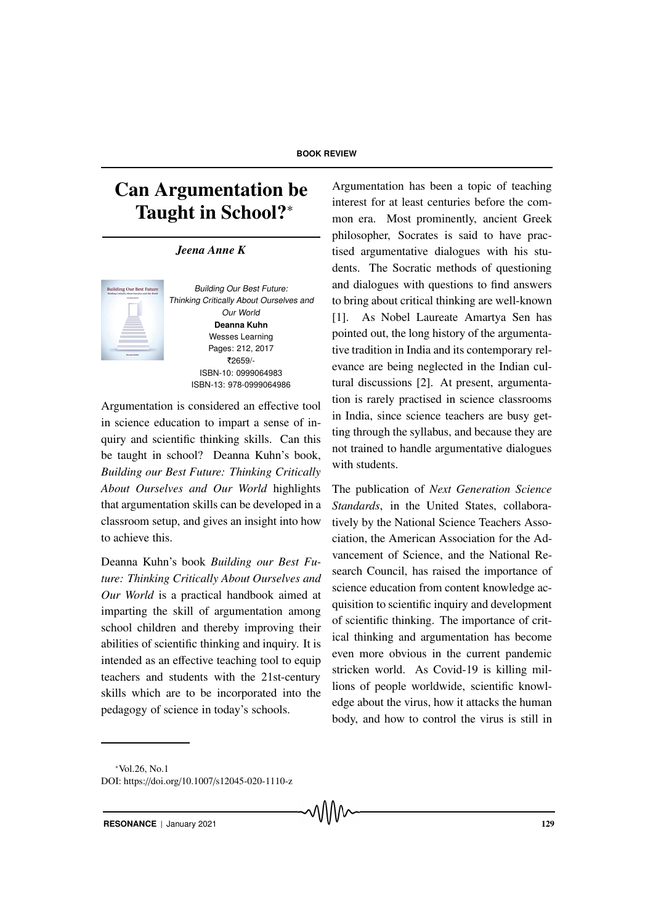# Can Argumentation be Taught in School?<sup>∗</sup>

*Jeena Anne K*



Building Our Best Future: Thinking Critically About Ourselves and Our World **Deanna Kuhn** Wesses Learning Pages: 212, 2017 |2659/- ISBN-10: 0999064983 ISBN-13: 978-0999064986

Argumentation is considered an effective tool in science education to impart a sense of inquiry and scientific thinking skills. Can this be taught in school? Deanna Kuhn's book, *Building our Best Future: Thinking Critically About Ourselves and Our World* highlights that argumentation skills can be developed in a classroom setup, and gives an insight into how to achieve this.

Deanna Kuhn's book *Building our Best Future: Thinking Critically About Ourselves and Our World* is a practical handbook aimed at imparting the skill of argumentation among school children and thereby improving their abilities of scientific thinking and inquiry. It is intended as an effective teaching tool to equip teachers and students with the 21st-century skills which are to be incorporated into the pedagogy of science in today's schools.

Argumentation has been a topic of teaching interest for at least centuries before the common era. Most prominently, ancient Greek philosopher, Socrates is said to have practised argumentative dialogues with his students. The Socratic methods of questioning and dialogues with questions to find answers to bring about critical thinking are well-known [1]. As Nobel Laureate Amartya Sen has pointed out, the long history of the argumentative tradition in India and its contemporary relevance are being neglected in the Indian cultural discussions [2]. At present, argumentation is rarely practised in science classrooms in India, since science teachers are busy getting through the syllabus, and because they are not trained to handle argumentative dialogues with students.

The publication of *Next Generation Science Standards*, in the United States, collaboratively by the National Science Teachers Association, the American Association for the Advancement of Science, and the National Research Council, has raised the importance of science education from content knowledge acquisition to scientific inquiry and development of scientific thinking. The importance of critical thinking and argumentation has become even more obvious in the current pandemic stricken world. As Covid-19 is killing millions of people worldwide, scientific knowledge about the virus, how it attacks the human body, and how to control the virus is still in

**RESONANCE** | January 2021 129

<sup>∗</sup>Vol.26, No.1

DOI: https://doi.org/10.1007/s12045-020-1110-z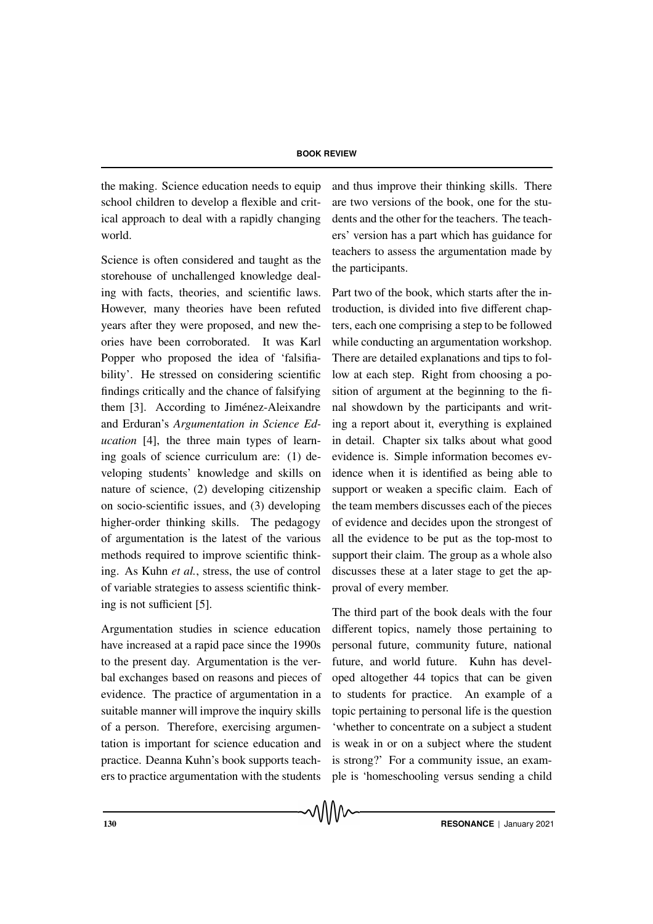the making. Science education needs to equip school children to develop a flexible and critical approach to deal with a rapidly changing world.

Science is often considered and taught as the storehouse of unchallenged knowledge dealing with facts, theories, and scientific laws. However, many theories have been refuted years after they were proposed, and new theories have been corroborated. It was Karl Popper who proposed the idea of 'falsifiability'. He stressed on considering scientific findings critically and the chance of falsifying them [3]. According to Jiménez-Aleixandre and Erduran's *Argumentation in Science Education* [4], the three main types of learning goals of science curriculum are: (1) developing students' knowledge and skills on nature of science, (2) developing citizenship on socio-scientific issues, and (3) developing higher-order thinking skills. The pedagogy of argumentation is the latest of the various methods required to improve scientific thinking. As Kuhn *et al.*, stress, the use of control of variable strategies to assess scientific thinking is not sufficient [5].

Argumentation studies in science education have increased at a rapid pace since the 1990s to the present day. Argumentation is the verbal exchanges based on reasons and pieces of evidence. The practice of argumentation in a suitable manner will improve the inquiry skills of a person. Therefore, exercising argumentation is important for science education and practice. Deanna Kuhn's book supports teachers to practice argumentation with the students and thus improve their thinking skills. There are two versions of the book, one for the students and the other for the teachers. The teachers' version has a part which has guidance for teachers to assess the argumentation made by the participants.

Part two of the book, which starts after the introduction, is divided into five different chapters, each one comprising a step to be followed while conducting an argumentation workshop. There are detailed explanations and tips to follow at each step. Right from choosing a position of argument at the beginning to the final showdown by the participants and writing a report about it, everything is explained in detail. Chapter six talks about what good evidence is. Simple information becomes evidence when it is identified as being able to support or weaken a specific claim. Each of the team members discusses each of the pieces of evidence and decides upon the strongest of all the evidence to be put as the top-most to support their claim. The group as a whole also discusses these at a later stage to get the approval of every member.

The third part of the book deals with the four different topics, namely those pertaining to personal future, community future, national future, and world future. Kuhn has developed altogether 44 topics that can be given to students for practice. An example of a topic pertaining to personal life is the question 'whether to concentrate on a subject a student is weak in or on a subject where the student is strong?' For a community issue, an example is 'homeschooling versus sending a child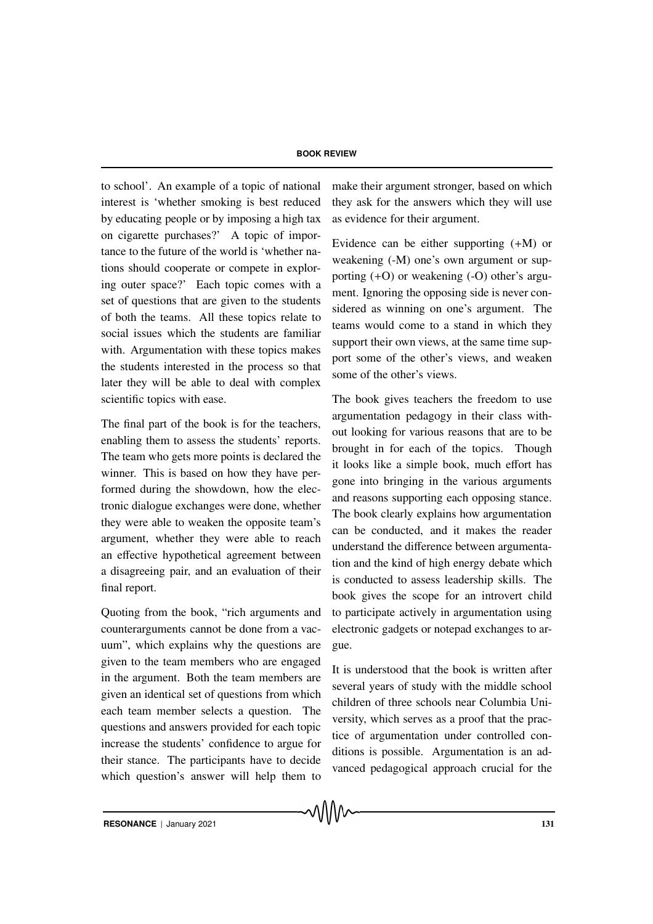to school'. An example of a topic of national interest is 'whether smoking is best reduced by educating people or by imposing a high tax on cigarette purchases?' A topic of importance to the future of the world is 'whether nations should cooperate or compete in exploring outer space?' Each topic comes with a set of questions that are given to the students of both the teams. All these topics relate to social issues which the students are familiar with. Argumentation with these topics makes the students interested in the process so that later they will be able to deal with complex scientific topics with ease.

The final part of the book is for the teachers, enabling them to assess the students' reports. The team who gets more points is declared the winner. This is based on how they have performed during the showdown, how the electronic dialogue exchanges were done, whether they were able to weaken the opposite team's argument, whether they were able to reach an effective hypothetical agreement between a disagreeing pair, and an evaluation of their final report.

Quoting from the book, "rich arguments and counterarguments cannot be done from a vacuum", which explains why the questions are given to the team members who are engaged in the argument. Both the team members are given an identical set of questions from which each team member selects a question. The questions and answers provided for each topic increase the students' confidence to argue for their stance. The participants have to decide which question's answer will help them to make their argument stronger, based on which they ask for the answers which they will use as evidence for their argument.

Evidence can be either supporting (+M) or weakening (-M) one's own argument or supporting (+O) or weakening (-O) other's argument. Ignoring the opposing side is never considered as winning on one's argument. The teams would come to a stand in which they support their own views, at the same time support some of the other's views, and weaken some of the other's views.

The book gives teachers the freedom to use argumentation pedagogy in their class without looking for various reasons that are to be brought in for each of the topics. Though it looks like a simple book, much effort has gone into bringing in the various arguments and reasons supporting each opposing stance. The book clearly explains how argumentation can be conducted, and it makes the reader understand the difference between argumentation and the kind of high energy debate which is conducted to assess leadership skills. The book gives the scope for an introvert child to participate actively in argumentation using electronic gadgets or notepad exchanges to argue.

It is understood that the book is written after several years of study with the middle school children of three schools near Columbia University, which serves as a proof that the practice of argumentation under controlled conditions is possible. Argumentation is an advanced pedagogical approach crucial for the